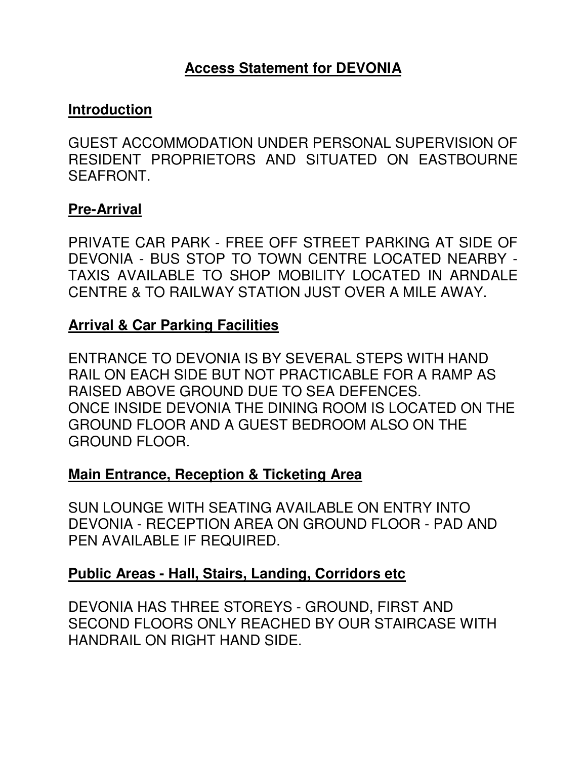# **Access Statement for DEVONIA**

#### **Introduction**

GUEST ACCOMMODATION UNDER PERSONAL SUPERVISION OF RESIDENT PROPRIETORS AND SITUATED ON EASTBOURNE SEAFRONT.

#### **Pre-Arrival**

PRIVATE CAR PARK - FREE OFF STREET PARKING AT SIDE OF DEVONIA - BUS STOP TO TOWN CENTRE LOCATED NEARBY - TAXIS AVAILABLE TO SHOP MOBILITY LOCATED IN ARNDALE CENTRE & TO RAILWAY STATION JUST OVER A MILE AWAY.

#### **Arrival & Car Parking Facilities**

ENTRANCE TO DEVONIA IS BY SEVERAL STEPS WITH HAND RAIL ON EACH SIDE BUT NOT PRACTICABLE FOR A RAMP AS RAISED ABOVE GROUND DUE TO SEA DEFENCES. ONCE INSIDE DEVONIA THE DINING ROOM IS LOCATED ON THE GROUND FLOOR AND A GUEST BEDROOM ALSO ON THE GROUND FLOOR.

### **Main Entrance, Reception & Ticketing Area**

SUN LOUNGE WITH SEATING AVAILABLE ON ENTRY INTO DEVONIA - RECEPTION AREA ON GROUND FLOOR - PAD AND PEN AVAILABLE IF REQUIRED.

### **Public Areas - Hall, Stairs, Landing, Corridors etc**

DEVONIA HAS THREE STOREYS - GROUND, FIRST AND SECOND FLOORS ONLY REACHED BY OUR STAIRCASE WITH HANDRAIL ON RIGHT HAND SIDE.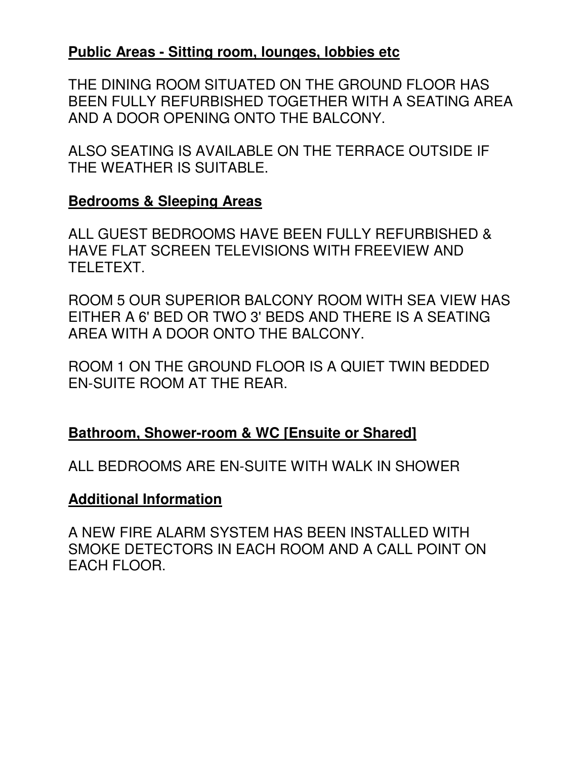# **Public Areas - Sitting room, lounges, lobbies etc**

THE DINING ROOM SITUATED ON THE GROUND FLOOR HAS BEEN FULLY REFURBISHED TOGETHER WITH A SEATING AREA AND A DOOR OPENING ONTO THE BALCONY.

ALSO SEATING IS AVAILABLE ON THE TERRACE OUTSIDE IF THE WEATHER IS SUITABLE.

### **Bedrooms & Sleeping Areas**

ALL GUEST BEDROOMS HAVE BEEN FULLY REFURBISHED & HAVE FLAT SCREEN TELEVISIONS WITH FREEVIEW AND TELETEXT.

ROOM 5 OUR SUPERIOR BALCONY ROOM WITH SEA VIEW HAS EITHER A 6' BED OR TWO 3' BEDS AND THERE IS A SEATING AREA WITH A DOOR ONTO THE BALCONY.

ROOM 1 ON THE GROUND FLOOR IS A QUIET TWIN BEDDED EN-SUITE ROOM AT THE REAR.

# **Bathroom, Shower-room & WC [Ensuite or Shared]**

ALL BEDROOMS ARE EN-SUITE WITH WALK IN SHOWER

# **Additional Information**

A NEW FIRE ALARM SYSTEM HAS BEEN INSTALLED WITH SMOKE DETECTORS IN EACH ROOM AND A CALL POINT ON EACH FLOOR.